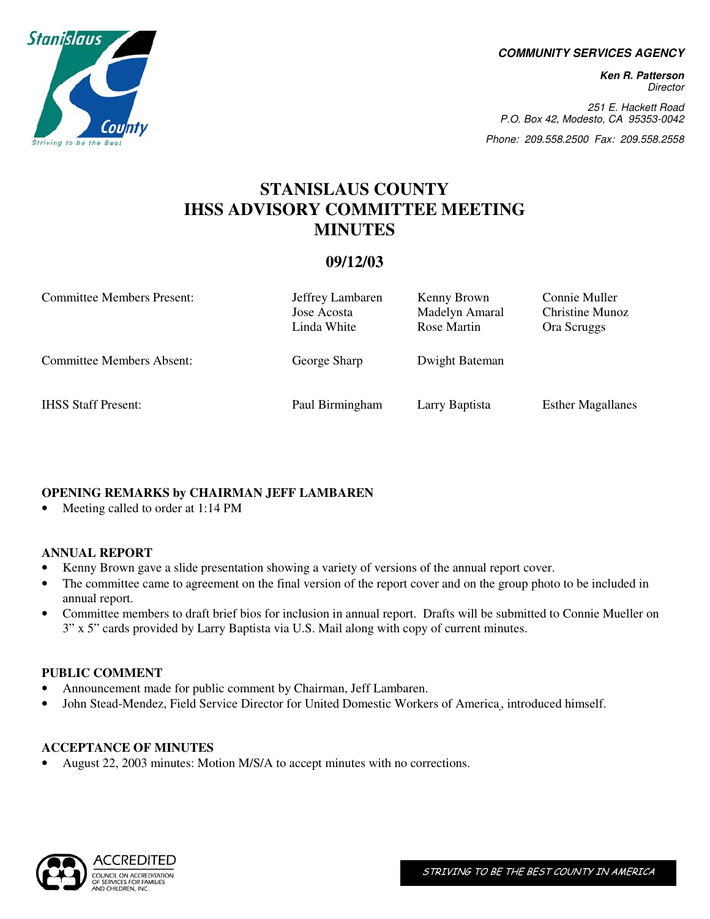**COMMUNITY SERVICES AGENCY** 

**Ken R. Patterson**  Director

251 E. Hackett Road P.O. Box 42, Modesto, CA 95353-0042

Phone: 209.558.2500 Fax: 209.558.2558

# **STANISLAUS COUNTY IHSS ADVISORY COMMITTEE MEETING MINUTES**

## **09/12/03**

| <b>Committee Members Present:</b> | Jeffrey Lambaren<br>Jose Acosta<br>Linda White | Kenny Brown<br>Madelyn Amaral<br>Rose Martin | Connie Muller<br>Christine Munoz<br>Ora Scruggs |
|-----------------------------------|------------------------------------------------|----------------------------------------------|-------------------------------------------------|
| <b>Committee Members Absent:</b>  | George Sharp                                   | Dwight Bateman                               |                                                 |
| <b>IHSS Staff Present:</b>        | Paul Birmingham                                | Larry Baptista                               | <b>Esther Magallanes</b>                        |

## **OPENING REMARKS by CHAIRMAN JEFF LAMBAREN**

• Meeting called to order at 1:14 PM

## **ANNUAL REPORT**

- Kenny Brown gave a slide presentation showing a variety of versions of the annual report cover.
- The committee came to agreement on the final version of the report cover and on the group photo to be included in annual report.
- Committee members to draft brief bios for inclusion in annual report. Drafts will be submitted to Connie Mueller on 3" x 5" cards provided by Larry Baptista via U.S. Mail along with copy of current minutes.

## **PUBLIC COMMENT**

- Announcement made for public comment by Chairman, Jeff Lambaren.
- John Stead-Mendez, Field Service Director for United Domestic Workers of America , introduced himself.

## **ACCEPTANCE OF MINUTES**

• August 22, 2003 minutes: Motion M/S/A to accept minutes with no corrections.



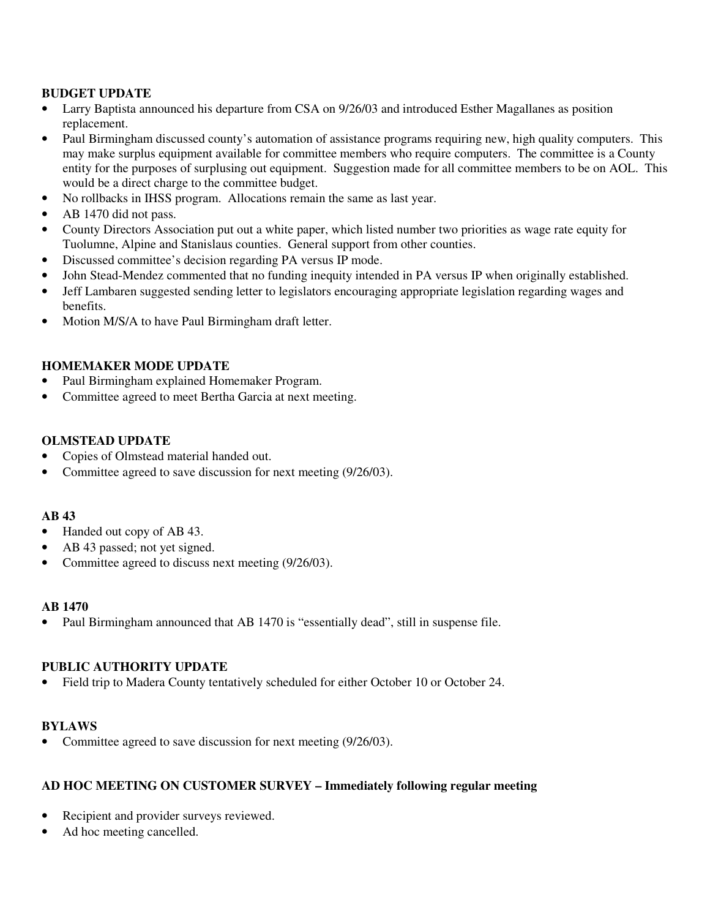### **BUDGET UPDATE**

- Larry Baptista announced his departure from CSA on 9/26/03 and introduced Esther Magallanes as position replacement.
- Paul Birmingham discussed county's automation of assistance programs requiring new, high quality computers. This may make surplus equipment available for committee members who require computers. The committee is a County entity for the purposes of surplusing out equipment. Suggestion made for all committee members to be on AOL. This would be a direct charge to the committee budget.
- No rollbacks in IHSS program. Allocations remain the same as last year.
- AB 1470 did not pass.
- County Directors Association put out a white paper, which listed number two priorities as wage rate equity for Tuolumne, Alpine and Stanislaus counties. General support from other counties.
- Discussed committee's decision regarding PA versus IP mode.
- John Stead-Mendez commented that no funding inequity intended in PA versus IP when originally established.
- Jeff Lambaren suggested sending letter to legislators encouraging appropriate legislation regarding wages and benefits.
- Motion M/S/A to have Paul Birmingham draft letter.

#### **HOMEMAKER MODE UPDATE**

- Paul Birmingham explained Homemaker Program.
- Committee agreed to meet Bertha Garcia at next meeting.

### **OLMSTEAD UPDATE**

- Copies of Olmstead material handed out.
- Committee agreed to save discussion for next meeting (9/26/03).

#### **AB 43**

- Handed out copy of AB 43.
- AB 43 passed; not yet signed.
- Committee agreed to discuss next meeting (9/26/03).

#### **AB 1470**

Paul Birmingham announced that AB 1470 is "essentially dead", still in suspense file.

## **PUBLIC AUTHORITY UPDATE**

• Field trip to Madera County tentatively scheduled for either October 10 or October 24.

#### **BYLAWS**

• Committee agreed to save discussion for next meeting (9/26/03).

#### **AD HOC MEETING ON CUSTOMER SURVEY – Immediately following regular meeting**

- Recipient and provider surveys reviewed.
- Ad hoc meeting cancelled.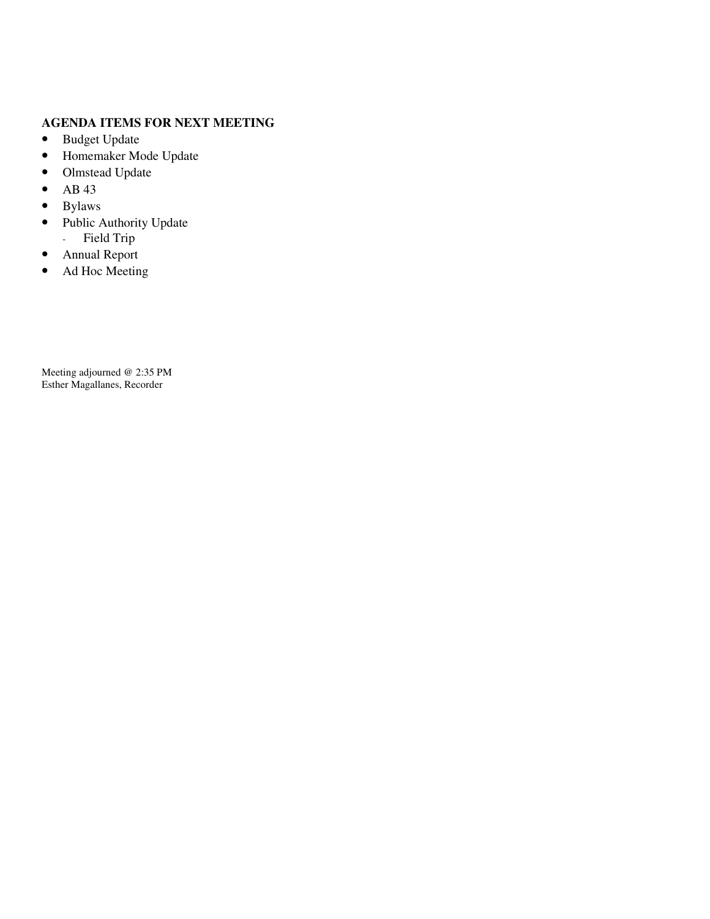## **AGENDA ITEMS FOR NEXT MEETING**

- Budget Update
- Homemaker Mode Update
- Olmstead Update
- AB 43
- Bylaws
- Public Authority Update - Field Trip
- Annual Report
- Ad Hoc Meeting

Meeting adjourned @ 2:35 PM Esther Magallanes, Recorder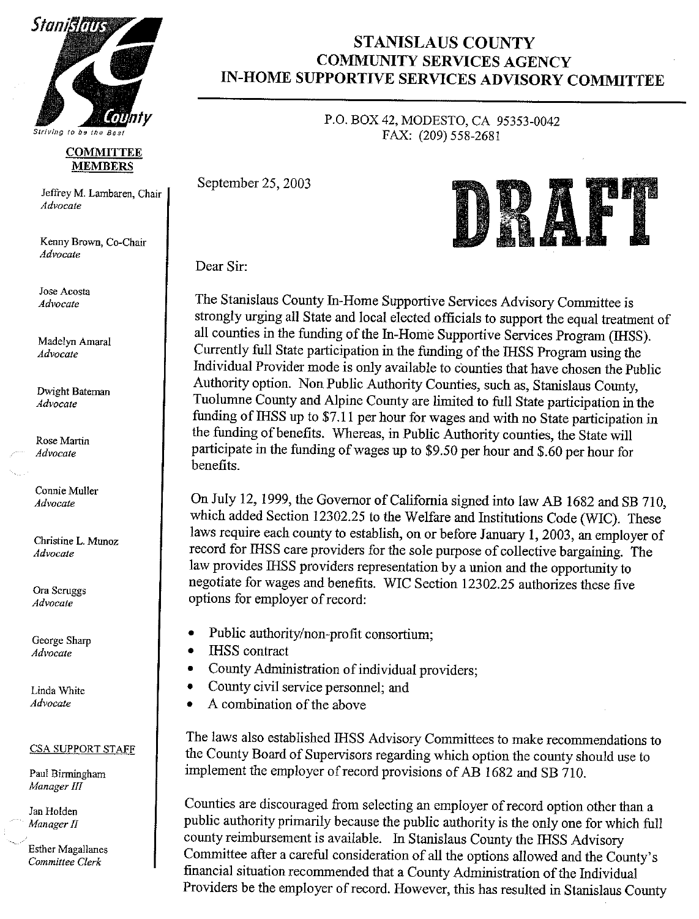

Striving to be the Best

#### **COMMITTEE MEMBERS**

Jeffrey M. Lambaren, Chair Advocate

Kenny Brown, Co-Chair Advocate

Jose Acosta Advocate

Madelyn Amaral Advocate

Dwight Bateman Advocate

Rose Martin Advocate

Connie Muller Advocate

Christine L. Munoz Advocate

Ora Scruggs Advocate

George Sharp Advocate

Linda White Advocate

#### **CSA SUPPORT STAFF**

Paul Birmingham Manager III

Jan Holden Manager II

**Esther Magallanes** Committee Clerk

## **STANISLAUS COUNTY COMMUNITY SERVICES AGENCY** IN-HOME SUPPORTIVE SERVICES ADVISORY COMMITTEE

P.O. BOX 42, MODESTO, CA 95353-0042 FAX: (209) 558-2681

September 25, 2003



Dear Sir

The Stanislaus County In-Home Supportive Services Advisory Committee is strongly urging all State and local elected officials to support the equal treatment of all counties in the funding of the In-Home Supportive Services Program (IHSS). Currently full State participation in the funding of the IHSS Program using the Individual Provider mode is only available to counties that have chosen the Public Authority option. Non Public Authority Counties, such as, Stanislaus County, Tuolumne County and Alpine County are limited to full State participation in the funding of IHSS up to \$7.11 per hour for wages and with no State participation in the funding of benefits. Whereas, in Public Authority counties, the State will participate in the funding of wages up to \$9.50 per hour and \$.60 per hour for benefits.

On July 12, 1999, the Governor of California signed into law AB 1682 and SB 710, which added Section 12302.25 to the Welfare and Institutions Code (WIC). These laws require each county to establish, on or before January 1, 2003, an employer of record for IHSS care providers for the sole purpose of collective bargaining. The law provides IHSS providers representation by a union and the opportunity to negotiate for wages and benefits. WIC Section 12302.25 authorizes these five options for employer of record:

- Public authority/non-profit consortium;
- **IHSS** contract
- County Administration of individual providers;
- County civil service personnel: and  $\bullet$
- A combination of the above

The laws also established IHSS Advisory Committees to make recommendations to the County Board of Supervisors regarding which option the county should use to implement the employer of record provisions of AB 1682 and SB 710.

Counties are discouraged from selecting an employer of record option other than a public authority primarily because the public authority is the only one for which full county reimbursement is available. In Stanislaus County the IHSS Advisory Committee after a careful consideration of all the options allowed and the County's financial situation recommended that a County Administration of the Individual Providers be the employer of record. However, this has resulted in Stanislaus County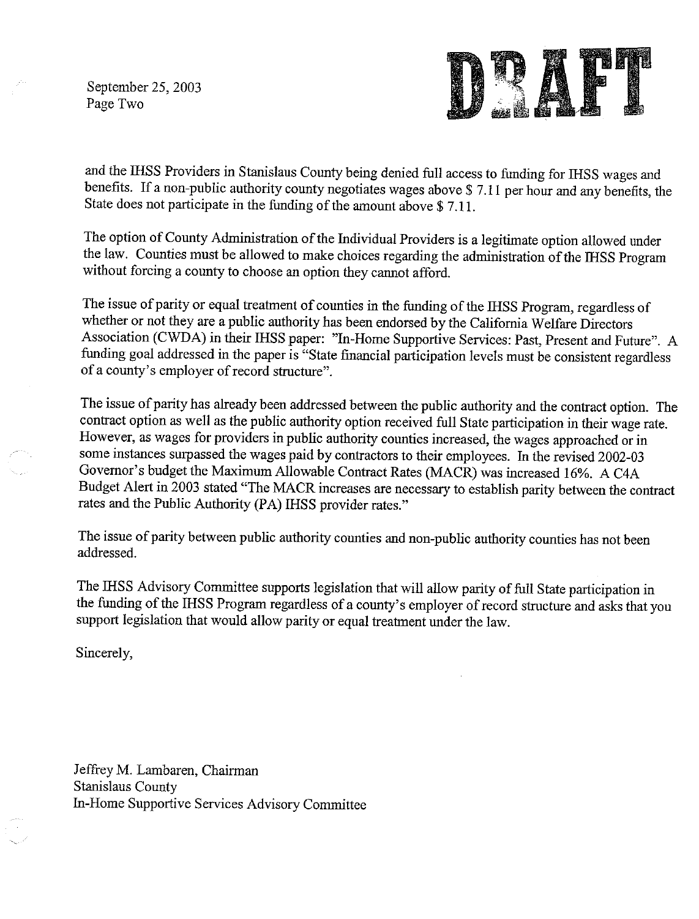September 25, 2003 Page Two



and the IHSS Providers in Stanislaus County being denied full access to funding for IHSS wages and benefits. If a non-public authority county negotiates wages above \$7.11 per hour and any benefits, the State does not participate in the funding of the amount above \$7.11.

The option of County Administration of the Individual Providers is a legitimate option allowed under the law. Counties must be allowed to make choices regarding the administration of the IHSS Program without forcing a county to choose an option they cannot afford.

The issue of parity or equal treatment of counties in the funding of the IHSS Program, regardless of whether or not they are a public authority has been endorsed by the California Welfare Directors Association (CWDA) in their IHSS paper: "In-Home Supportive Services: Past, Present and Future". A funding goal addressed in the paper is "State financial participation levels must be consistent regardless of a county's employer of record structure".

The issue of parity has already been addressed between the public authority and the contract option. The contract option as well as the public authority option received full State participation in their wage rate. However, as wages for providers in public authority counties increased, the wages approached or in some instances surpassed the wages paid by contractors to their employees. In the revised 2002-03 Governor's budget the Maximum Allowable Contract Rates (MACR) was increased 16%. A C4A Budget Alert in 2003 stated "The MACR increases are necessary to establish parity between the contract rates and the Public Authority (PA) IHSS provider rates."

The issue of parity between public authority counties and non-public authority counties has not been addressed.

The IHSS Advisory Committee supports legislation that will allow parity of full State participation in the funding of the IHSS Program regardless of a county's employer of record structure and asks that you support legislation that would allow parity or equal treatment under the law.

Sincerely,

Jeffrey M. Lambaren, Chairman **Stanislaus County** In-Home Supportive Services Advisory Committee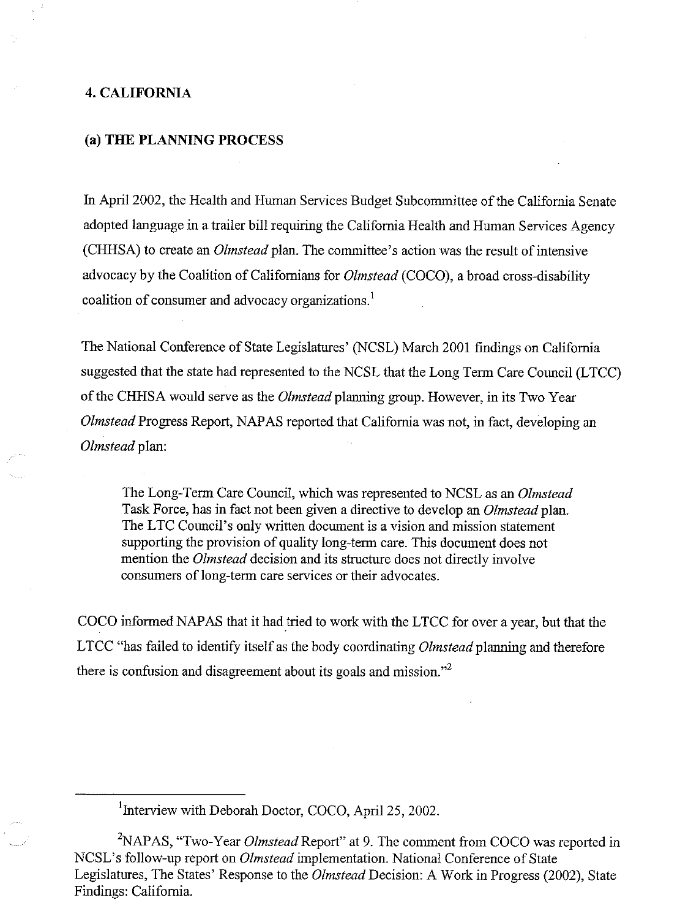#### **4. CALIFORNIA**

#### (a) THE PLANNING PROCESS

In April 2002, the Health and Human Services Budget Subcommittee of the California Senate adopted language in a trailer bill requiring the California Health and Human Services Agency (CHHSA) to create an *Olmstead* plan. The committee's action was the result of intensive advocacy by the Coalition of Californians for *Olmstead* (COCO), a broad cross-disability coalition of consumer and advocacy organizations.<sup>1</sup>

The National Conference of State Legislatures' (NCSL) March 2001 findings on California suggested that the state had represented to the NCSL that the Long Term Care Council (LTCC) of the CHHSA would serve as the *Olmstead* planning group. However, in its Two Year *Olmstead* Progress Report, NAPAS reported that California was not, in fact, developing an Olmstead plan:

The Long-Term Care Council, which was represented to NCSL as an Olmstead Task Force, has in fact not been given a directive to develop an *Olmstead* plan. The LTC Council's only written document is a vision and mission statement supporting the provision of quality long-term care. This document does not mention the *Olmstead* decision and its structure does not directly involve consumers of long-term care services or their advocates.

COCO informed NAPAS that it had tried to work with the LTCC for over a year, but that the LTCC "has failed to identify itself as the body coordinating Olmstead planning and therefore there is confusion and disagreement about its goals and mission."<sup>2</sup>

<sup>1</sup>Interview with Deborah Doctor, COCO, April 25, 2002.

<sup>2</sup>NAPAS, "Two-Year *Olmstead* Report" at 9. The comment from COCO was reported in NCSL's follow-up report on *Olmstead* implementation. National Conference of State Legislatures, The States' Response to the Olmstead Decision: A Work in Progress (2002), State Findings: California.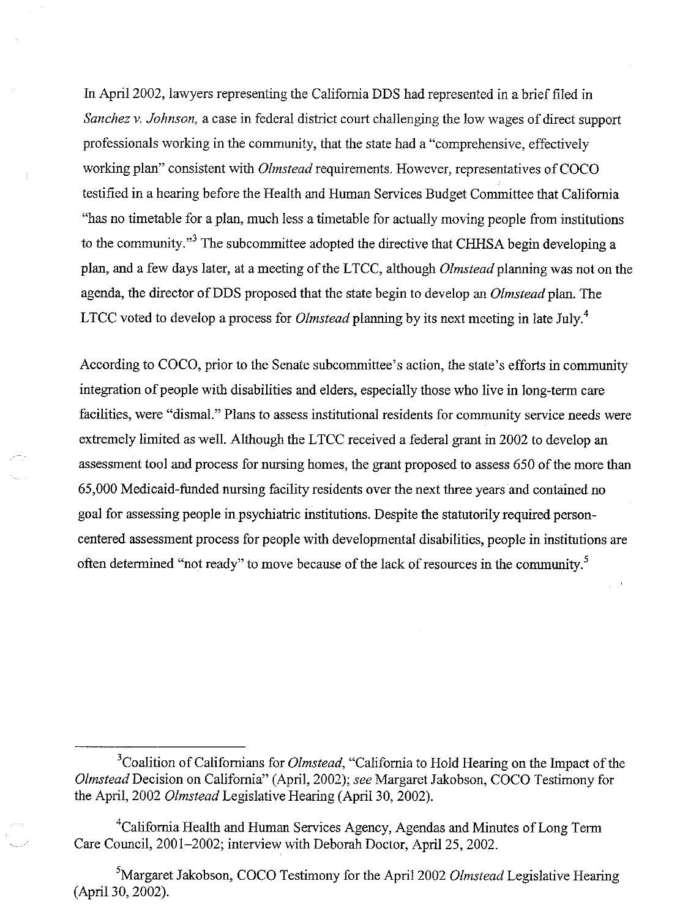In April 2002, lawyers representing the California DDS had represented in a brief filed in Sanchez v. Johnson, a case in federal district court challenging the low wages of direct support professionals working in the community, that the state had a "comprehensive, effectively working plan" consistent with *Olmstead* requirements. However, representatives of COCO testified in a hearing before the Health and Human Services Budget Committee that California "has no timetable for a plan, much less a timetable for actually moving people from institutions to the community."<sup>3</sup> The subcommittee adopted the directive that CHHSA begin developing a plan, and a few days later, at a meeting of the LTCC, although *Olmstead* planning was not on the agenda, the director of DDS proposed that the state begin to develop an *Olmstead* plan. The LTCC voted to develop a process for *Olmstead* planning by its next meeting in late July.<sup>4</sup>

According to COCO, prior to the Senate subcommittee's action, the state's efforts in community integration of people with disabilities and elders, especially those who live in long-term care facilities, were "dismal." Plans to assess institutional residents for community service needs were extremely limited as well. Although the LTCC received a federal grant in 2002 to develop an assessment tool and process for nursing homes, the grant proposed to assess 650 of the more than 65,000 Medicaid-funded nursing facility residents over the next three years and contained no goal for assessing people in psychiatric institutions. Despite the statutorily required personcentered assessment process for people with developmental disabilities, people in institutions are often determined "not ready" to move because of the lack of resources in the community.<sup>5</sup>

<sup>&</sup>lt;sup>3</sup>Coalition of Californians for *Olmstead*, "California to Hold Hearing on the Impact of the Olmstead Decision on California" (April, 2002); see Margaret Jakobson, COCO Testimony for the April, 2002 *Olmstead* Legislative Hearing (April 30, 2002).

<sup>&</sup>lt;sup>4</sup>California Health and Human Services Agency, Agendas and Minutes of Long Term Care Council, 2001-2002; interview with Deborah Doctor, April 25, 2002.

<sup>&</sup>lt;sup>5</sup>Margaret Jakobson, COCO Testimony for the April 2002 Olmstead Legislative Hearing (April 30, 2002).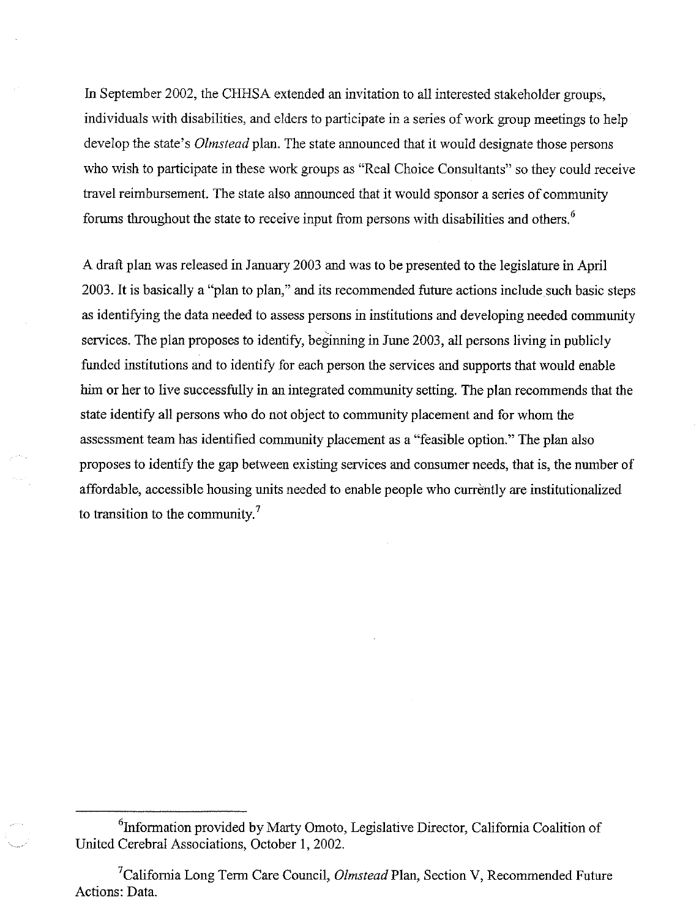In September 2002, the CHHSA extended an invitation to all interested stakeholder groups. individuals with disabilities, and elders to participate in a series of work group meetings to help develop the state's *Olmstead* plan. The state announced that it would designate those persons who wish to participate in these work groups as "Real Choice Consultants" so they could receive travel reimbursement. The state also announced that it would sponsor a series of community forums throughout the state to receive input from persons with disabilities and others.<sup>6</sup>

A draft plan was released in January 2003 and was to be presented to the legislature in April 2003. It is basically a "plan to plan," and its recommended future actions include such basic steps as identifying the data needed to assess persons in institutions and developing needed community services. The plan proposes to identify, beginning in June 2003, all persons living in publicly funded institutions and to identify for each person the services and supports that would enable him or her to live successfully in an integrated community setting. The plan recommends that the state identify all persons who do not object to community placement and for whom the assessment team has identified community placement as a "feasible option." The plan also proposes to identify the gap between existing services and consumer needs, that is, the number of affordable, accessible housing units needed to enable people who currently are institutionalized to transition to the community.<sup>7</sup>

<sup>&</sup>lt;sup>6</sup>Information provided by Marty Omoto, Legislative Director, California Coalition of United Cerebral Associations, October 1, 2002.

<sup>&</sup>lt;sup>7</sup>California Long Term Care Council, *Olmstead* Plan, Section V, Recommended Future Actions: Data.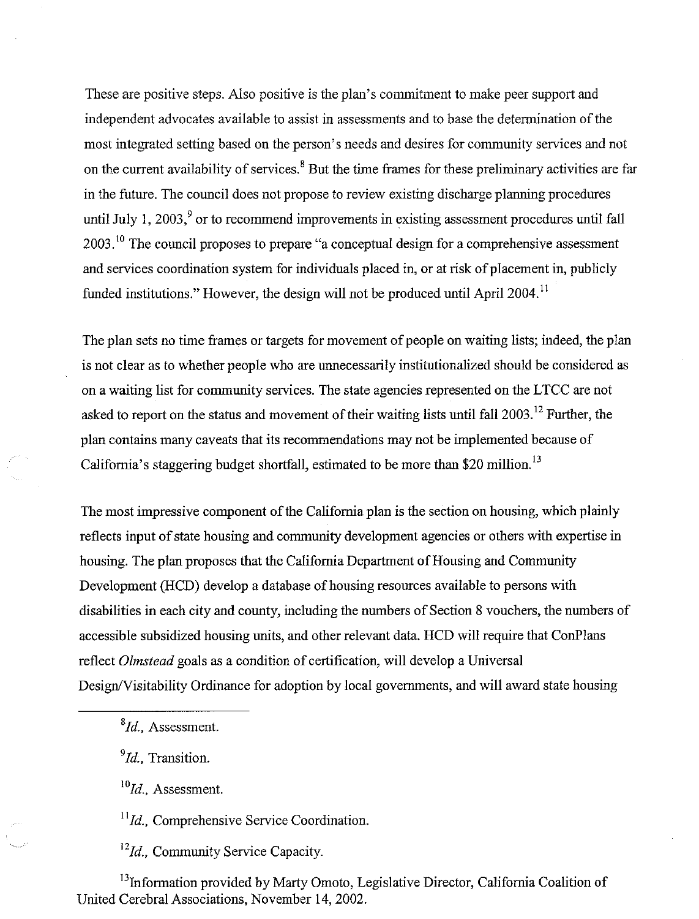These are positive steps. Also positive is the plan's commitment to make peer support and independent advocates available to assist in assessments and to base the determination of the most integrated setting based on the person's needs and desires for community services and not on the current availability of services.<sup>8</sup> But the time frames for these preliminary activities are far in the future. The council does not propose to review existing discharge planning procedures until July 1, 2003, $\degree$  or to recommend improvements in existing assessment procedures until fall  $2003$ .<sup>10</sup> The council proposes to prepare "a conceptual design for a comprehensive assessment and services coordination system for individuals placed in, or at risk of placement in, publicly funded institutions." However, the design will not be produced until April 2004.<sup>11</sup>

The plan sets no time frames or targets for movement of people on waiting lists; indeed, the plan is not clear as to whether people who are unnecessarily institutionalized should be considered as on a waiting list for community services. The state agencies represented on the LTCC are not asked to report on the status and movement of their waiting lists until fall 2003.<sup>12</sup> Further, the plan contains many caveats that its recommendations may not be implemented because of California's staggering budget shortfall, estimated to be more than \$20 million.<sup>13</sup>

The most impressive component of the California plan is the section on housing, which plainly reflects input of state housing and community development agencies or others with expertise in housing. The plan proposes that the California Department of Housing and Community Development (HCD) develop a database of housing resources available to persons with disabilities in each city and county, including the numbers of Section 8 vouchers, the numbers of accessible subsidized housing units, and other relevant data. HCD will require that ConPlans reflect Olmstead goals as a condition of certification, will develop a Universal Design/Visitability Ordinance for adoption by local governments, and will award state housing

 ${}^{8}Id$ . Assessment.

 $^{9}$ Id., Transition.

 $^{10}$ Id., Assessment.

 $11$ Id., Comprehensive Service Coordination.

<sup>12</sup>Id., Community Service Capacity.

<sup>13</sup>Information provided by Marty Omoto, Legislative Director, California Coalition of United Cerebral Associations, November 14, 2002.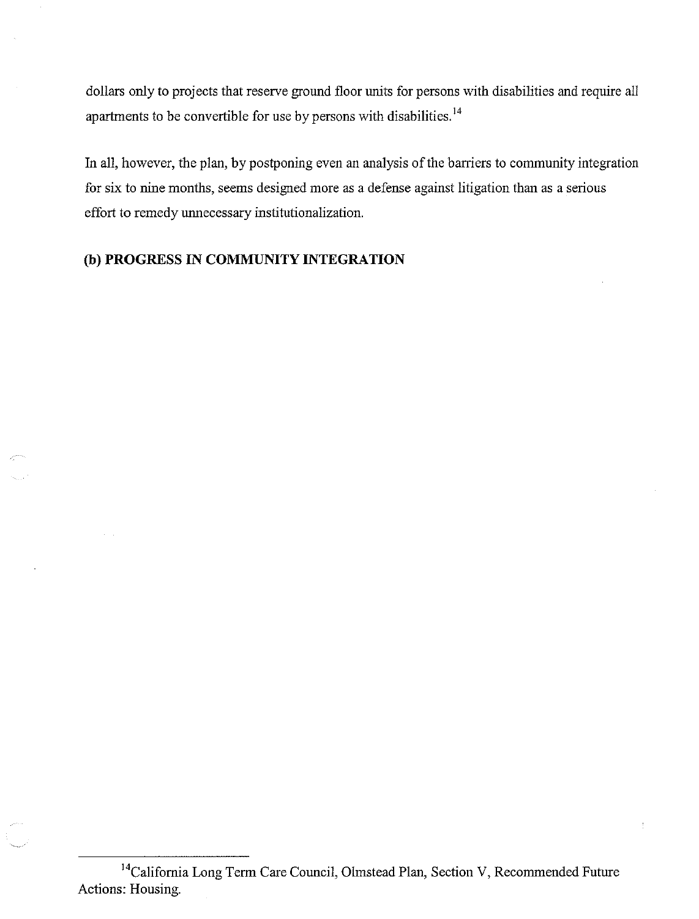dollars only to projects that reserve ground floor units for persons with disabilities and require all apartments to be convertible for use by persons with disabilities.<sup>14</sup>

In all, however, the plan, by postponing even an analysis of the barriers to community integration for six to nine months, seems designed more as a defense against litigation than as a serious effort to remedy unnecessary institutionalization.

## (b) PROGRESS IN COMMUNITY INTEGRATION

<sup>&</sup>lt;sup>14</sup>California Long Term Care Council, Olmstead Plan, Section V, Recommended Future Actions: Housing.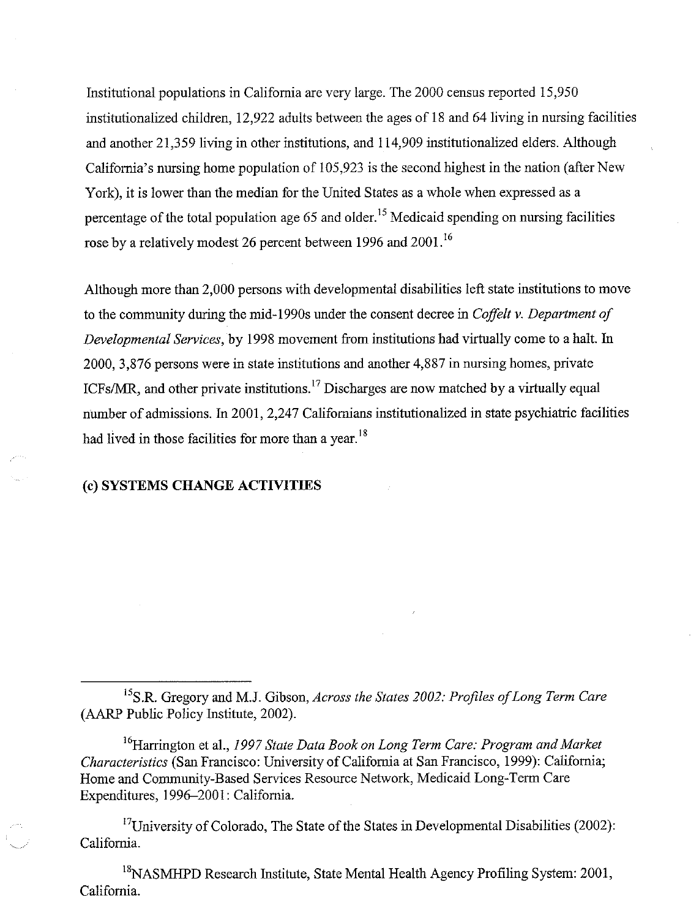Institutional populations in California are very large. The 2000 census reported 15,950 institutionalized children, 12,922 adults between the ages of 18 and 64 living in nursing facilities and another 21,359 living in other institutions, and 114,909 institutionalized elders. Although California's nursing home population of 105,923 is the second highest in the nation (after New York), it is lower than the median for the United States as a whole when expressed as a percentage of the total population age 65 and older.<sup>15</sup> Medicaid spending on nursing facilities rose by a relatively modest 26 percent between 1996 and 2001.<sup>16</sup>

Although more than 2,000 persons with developmental disabilities left state institutions to move to the community during the mid-1990s under the consent decree in Coffelt v. Department of Developmental Services, by 1998 movement from institutions had virtually come to a halt. In 2000, 3,876 persons were in state institutions and another 4,887 in nursing homes, private ICFs/MR, and other private institutions.<sup>17</sup> Discharges are now matched by a virtually equal number of admissions. In 2001, 2,247 Californians institutionalized in state psychiatric facilities had lived in those facilities for more than a year.<sup>18</sup>

#### (c) SYSTEMS CHANGE ACTIVITIES

<sup>15</sup>S.R. Gregory and M.J. Gibson, Across the States 2002: Profiles of Long Term Care (AARP Public Policy Institute, 2002).

<sup>16</sup>Harrington et al., 1997 State Data Book on Long Term Care: Program and Market Characteristics (San Francisco: University of California at San Francisco, 1999): California; Home and Community-Based Services Resource Network, Medicaid Long-Term Care Expenditures, 1996–2001: California.

<sup>17</sup>University of Colorado, The State of the States in Developmental Disabilities (2002): California.

<sup>18</sup>NASMHPD Research Institute, State Mental Health Agency Profiling System: 2001, California.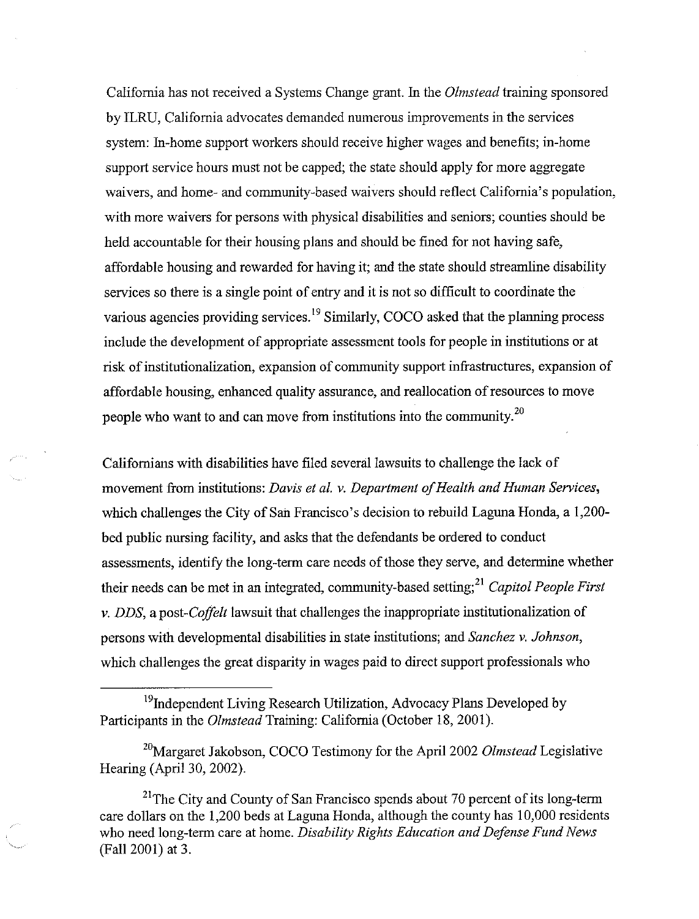California has not received a Systems Change grant. In the *Olmstead* training sponsored by ILRU, California advocates demanded numerous improvements in the services system: In-home support workers should receive higher wages and benefits; in-home support service hours must not be capped; the state should apply for more aggregate waivers, and home- and community-based waivers should reflect California's population, with more waivers for persons with physical disabilities and seniors; counties should be held accountable for their housing plans and should be fined for not having safe, affordable housing and rewarded for having it; and the state should streamline disability services so there is a single point of entry and it is not so difficult to coordinate the various agencies providing services.<sup>19</sup> Similarly, COCO asked that the planning process include the development of appropriate assessment tools for people in institutions or at risk of institutionalization, expansion of community support infrastructures, expansion of affordable housing, enhanced quality assurance, and reallocation of resources to move people who want to and can move from institutions into the community.<sup>20</sup>

Californians with disabilities have filed several lawsuits to challenge the lack of movement from institutions: Davis et al. v. Department of Health and Human Services, which challenges the City of San Francisco's decision to rebuild Laguna Honda, a 1,200bed public nursing facility, and asks that the defendants be ordered to conduct assessments, identify the long-term care needs of those they serve, and determine whether their needs can be met in an integrated, community-based setting;<sup>21</sup> Capitol People First  $v.$  DDS, a post-*Coffelt* lawsuit that challenges the inappropriate institutionalization of persons with developmental disabilities in state institutions; and Sanchez v. Johnson, which challenges the great disparity in wages paid to direct support professionals who

<sup>&</sup>lt;sup>19</sup>Independent Living Research Utilization, Advocacy Plans Developed by Participants in the *Olmstead* Training: California (October 18, 2001).

 $^{20}$ Margaret Jakobson, COCO Testimony for the April 2002 Olmstead Legislative Hearing (April 30, 2002).

 $^{21}$ The City and County of San Francisco spends about 70 percent of its long-term care dollars on the 1,200 beds at Laguna Honda, although the county has 10,000 residents who need long-term care at home. Disability Rights Education and Defense Fund News (Fall 2001) at 3.